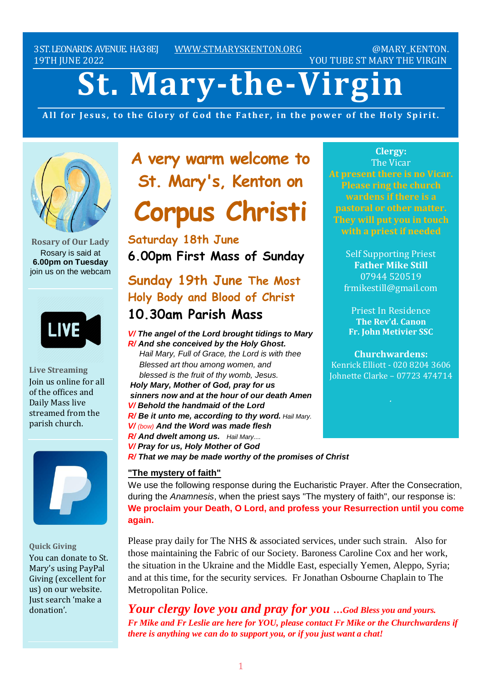3ST.LEONARDS AVENUE. HA38EJ [WWW.STMARYSKENTON.ORG](http://www.stmaryskenton.org/) @MARY\_KENTON. 19TH JUNE 2022 YOU TUBE ST MARY THE VIRGIN

# **St. Mary-the-Virgin**

All for Jesus, to the Glory of God the Father, in the power of the Holy Spirit.



**Rosary of Our Lady** Rosary is said at **6.00pm on Tuesday** join us on the webcam



**Live Streaming** Join us online for all of the offices and Daily Mass live streamed from the parish church.



**Quick Giving** You can donate to St. Mary's using PayPal Giving (excellent for us) on our website. Just search 'make a donation'.

**A very warm welcome to St. Mary's, Kenton on Corpus Christi**

**Saturday 18th June 6.00pm First Mass of Sunday**

# **Sunday 19th June The Most Holy Body and Blood of Christ 10.30am Parish Mass**

*V/ The angel of the Lord brought tidings to Mary R/ And she conceived by the Holy Ghost. Hail Mary, Full of Grace, the Lord is with thee Blessed art thou among women, and blessed is the fruit of thy womb, Jesus. Holy Mary, Mother of God, pray for us sinners now and at the hour of our death Amen V/ Behold the handmaid of the Lord R/ Be it unto me, according to thy word. Hail Mary. V/ (bow) And the Word was made flesh R/ And dwelt among us. Hail Mary.... V/ Pray for us, Holy Mother of God R/ That we may be made worthy of the promises of Christ*

#### **"The mystery of faith"**

We use the following response during the Eucharistic Prayer. After the Consecration, during the *Anamnesis*, when the priest says "The mystery of faith", our response is: **We proclaim your Death, O Lord, and profess your Resurrection until you come again.** 

Please pray daily for The NHS & associated services, under such strain. Also for those maintaining the Fabric of our Society. Baroness Caroline Cox and her work, the situation in the Ukraine and the Middle East, especially Yemen, Aleppo, Syria; and at this time, for the security services. Fr Jonathan Osbourne Chaplain to The Metropolitan Police.

*Your clergy love you and pray for you …God Bless you and yours. Fr Mike and Fr Leslie are here for YOU, please contact Fr Mike or the Churchwardens if there is anything we can do to support you, or if you just want a chat!*

**Clergy:** The Vicar **At present there is no Vicar. Please ring the church wardens if there is a pastoral or other matter. They will put you in touch**

> Self Supporting Priest **Father Mike Still** 07944 520519 frmikestill@gmail.com

Priest In Residence **The Rev'd. Canon Fr. John Metivier SSC**

**Churchwardens:** Kenrick Elliott - 020 8204 3606 Johnette Clarke – 07723 474714